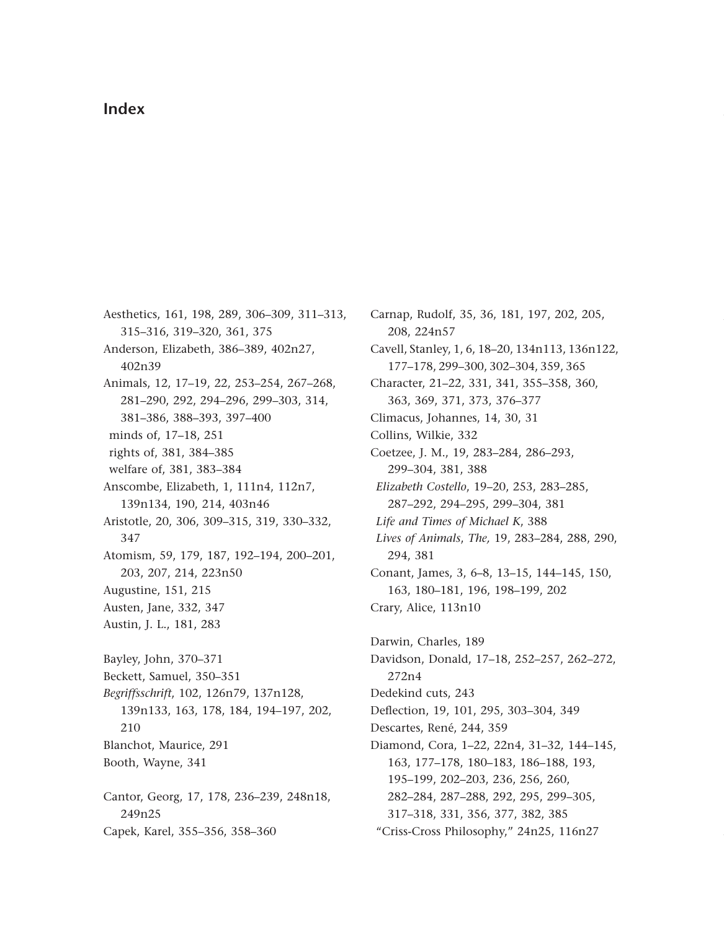## **Index**

Aesthetics, 161, 198, 289, 306–309, 311–313, 315–316, 319–320, 361, 375 Anderson, Elizabeth, 386–389, 402n27, 402n39 Animals, 12, 17–19, 22, 253–254, 267–268, 281–290, 292, 294–296, 299–303, 314, 381–386, 388–393, 397–400 minds of, 17–18, 251 rights of, 381, 384–385 welfare of, 381, 383–384 Anscombe, Elizabeth, 1, 111n4, 112n7, 139n134, 190, 214, 403n46 Aristotle, 20, 306, 309–315, 319, 330–332, 347 Atomism, 59, 179, 187, 192–194, 200–201, 203, 207, 214, 223n50 Augustine, 151, 215 Austen, Jane, 332, 347 Austin, J. L., 181, 283 Bayley, John, 370–371 Beckett, Samuel, 350–351 *Begriffsschrift*, 102, 126n79, 137n128, 139n133, 163, 178, 184, 194–197, 202, 210 Blanchot, Maurice, 291 Booth, Wayne, 341 Cantor, Georg, 17, 178, 236–239, 248n18, 249n25 Capek, Karel, 355–356, 358–360

Carnap, Rudolf, 35, 36, 181, 197, 202, 205, 208, 224n57 Cavell, Stanley, 1, 6, 18–20, 134n113, 136n122, 177–178, 299–300, 302–304, 359, 365 Character, 21–22, 331, 341, 355–358, 360, 363, 369, 371, 373, 376–377 Climacus, Johannes, 14, 30, 31 Collins, Wilkie, 332 Coetzee, J. M., 19, 283–284, 286–293, 299–304, 381, 388 *Elizabeth Costello*, 19–20, 253, 283–285, 287–292, 294–295, 299–304, 381 *Life and Times of Michael K*, 388 *Lives of Animals*, *The,* 19, 283–284, 288, 290, 294, 381 Conant, James, 3, 6–8, 13–15, 144–145, 150, 163, 180–181, 196, 198–199, 202 Crary, Alice, 113n10 Darwin, Charles, 189 Davidson, Donald, 17–18, 252–257, 262–272, 272n4 Dedekind cuts, 243 Deflection, 19, 101, 295, 303–304, 349 Descartes, René, 244, 359 Diamond, Cora, 1–22, 22n4, 31–32, 144–145, 163, 177–178, 180–183, 186–188, 193, 195–199, 202–203, 236, 256, 260, 282–284, 287–288, 292, 295, 299–305,

317–318, 331, 356, 377, 382, 385

"Criss-Cross Philosophy," 24n25, 116n27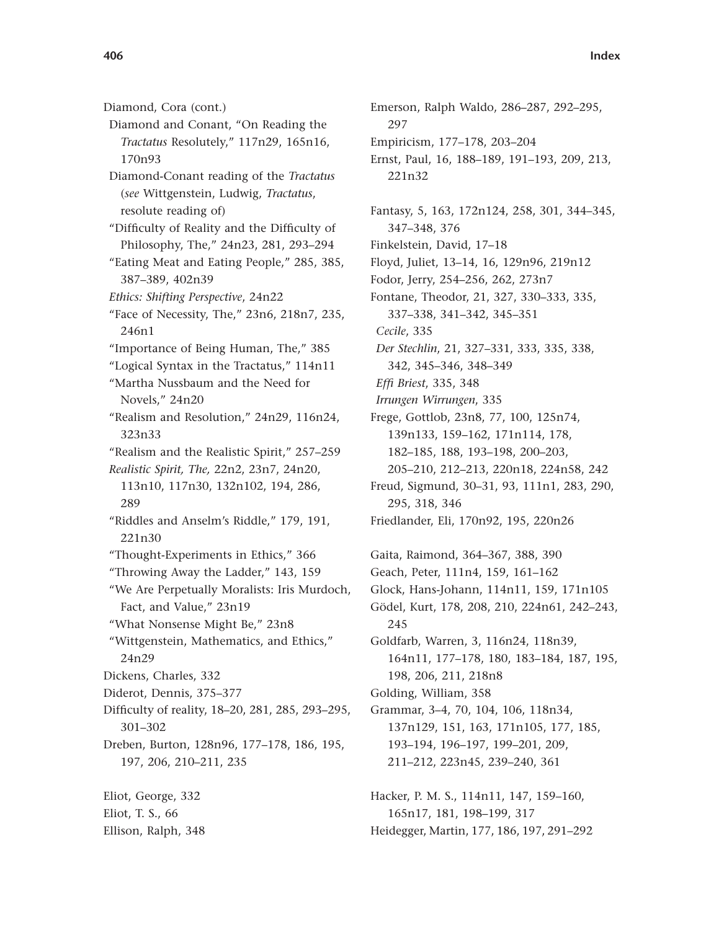Diamond, Cora (cont.) Diamond and Conant, "On Reading the *Tractatus* Resolutely," 117n29, 165n16, 170n93 Diamond-Conant reading of the *Tractatus* (*see* Wittgenstein, Ludwig, *Tractatus*, resolute reading of) "Difficulty of Reality and the Difficulty of Philosophy, The," 24n23, 281, 293–294 "Eating Meat and Eating People," 285, 385, 387–389, 402n39 *Ethics: Shifting Perspective*, 24n22 "Face of Necessity, The," 23n6, 218n7, 235, 246n1 "Importance of Being Human, The," 385 "Logical Syntax in the Tractatus," 114n11 "Martha Nussbaum and the Need for Novels," 24n20 "Realism and Resolution," 24n29, 116n24, 323n33 "Realism and the Realistic Spirit," 257–259 *Realistic Spirit, The,* 22n2, 23n7, 24n20, 113n10, 117n30, 132n102, 194, 286, 289 "Riddles and Anselm's Riddle," 179, 191, 221n30 "Thought-Experiments in Ethics," 366 "Throwing Away the Ladder," 143, 159 "We Are Perpetually Moralists: Iris Murdoch, Fact, and Value," 23n19 "What Nonsense Might Be," 23n8 "Wittgenstein, Mathematics, and Ethics," 24n29 Dickens, Charles, 332 Diderot, Dennis, 375–377 Difficulty of reality, 18–20, 281, 285, 293–295, 301–302 Dreben, Burton, 128n96, 177–178, 186, 195, 197, 206, 210–211, 235 Eliot, George, 332 Eliot, T. S., 66

Ellison, Ralph, 348

Emerson, Ralph Waldo, 286–287, 292–295, 297 Empiricism, 177–178, 203–204 Ernst, Paul, 16, 188–189, 191–193, 209, 213, 221n32 Fantasy, 5, 163, 172n124, 258, 301, 344–345, 347–348, 376 Finkelstein, David, 17–18 Floyd, Juliet, 13–14, 16, 129n96, 219n12 Fodor, Jerry, 254–256, 262, 273n7 Fontane, Theodor, 21, 327, 330–333, 335, 337–338, 341–342, 345–351 *Cecile*, 335 *Der Stechlin*, 21, 327–331, 333, 335, 338, 342, 345–346, 348–349 *Effi Briest*, 335, 348 *Irrungen Wirrungen*, 335 Frege, Gottlob, 23n8, 77, 100, 125n74, 139n133, 159–162, 171n114, 178, 182–185, 188, 193–198, 200–203, 205–210, 212–213, 220n18, 224n58, 242 Freud, Sigmund, 30–31, 93, 111n1, 283, 290, 295, 318, 346 Friedlander, Eli, 170n92, 195, 220n26 Gaita, Raimond, 364–367, 388, 390 Geach, Peter, 111n4, 159, 161–162 Glock, Hans-Johann, 114n11, 159, 171n105 Gödel, Kurt, 178, 208, 210, 224n61, 242–243, 245 Goldfarb, Warren, 3, 116n24, 118n39, 164n11, 177–178, 180, 183–184, 187, 195, 198, 206, 211, 218n8 Golding, William, 358 Grammar, 3–4, 70, 104, 106, 118n34, 137n129, 151, 163, 171n105, 177, 185, 193–194, 196–197, 199–201, 209, 211–212, 223n45, 239–240, 361 Hacker, P. M. S., 114n11, 147, 159–160,

165n17, 181, 198–199, 317 Heidegger, Martin, 177, 186, 197, 291–292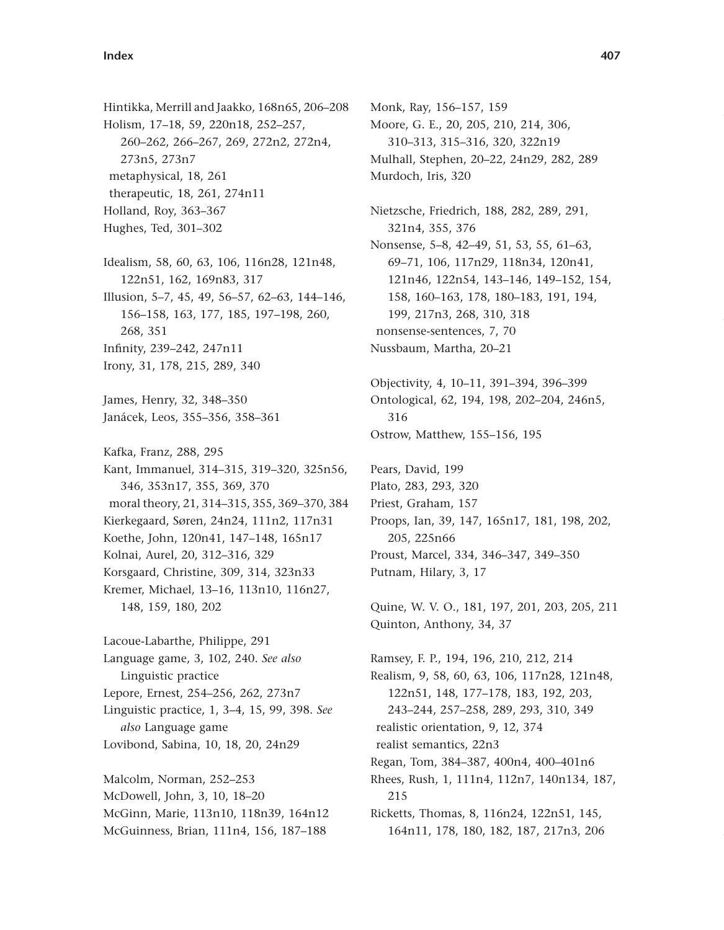Hintikka, Merrill and Jaakko, 168n65, 206–208 Holism, 17–18, 59, 220n18, 252–257, 260–262, 266–267, 269, 272n2, 272n4, 273n5, 273n7 metaphysical, 18, 261 therapeutic, 18, 261, 274n11 Holland, Roy, 363–367 Hughes, Ted, 301–302 Idealism, 58, 60, 63, 106, 116n28, 121n48, 122n51, 162, 169n83, 317 Illusion, 5–7, 45, 49, 56–57, 62–63, 144–146, 156–158, 163, 177, 185, 197–198, 260, 268, 351 Infinity, 239–242, 247n11 Irony, 31, 178, 215, 289, 340 James, Henry, 32, 348–350 Janácek, Leos, 355–356, 358–361 Kafka, Franz, 288, 295 Kant, Immanuel, 314–315, 319–320, 325n56, 346, 353n17, 355, 369, 370 moral theory, 21, 314–315, 355, 369–370, 384 Kierkegaard, Søren, 24n24, 111n2, 117n31 Koethe, John, 120n41, 147–148, 165n17 Kolnai, Aurel, 20, 312–316, 329 Korsgaard, Christine, 309, 314, 323n33 Kremer, Michael, 13–16, 113n10, 116n27, 148, 159, 180, 202 Lacoue-Labarthe, Philippe, 291 Language game, 3, 102, 240. *See also* Linguistic practice Lepore, Ernest, 254–256, 262, 273n7 Linguistic practice, 1, 3–4, 15, 99, 398. *See also* Language game Lovibond, Sabina, 10, 18, 20, 24n29 Malcolm, Norman, 252–253 McDowell, John, 3, 10, 18–20 McGinn, Marie, 113n10, 118n39, 164n12

McGuinness, Brian, 111n4, 156, 187–188

Monk, Ray, 156–157, 159 Moore, G. E., 20, 205, 210, 214, 306, 310–313, 315–316, 320, 322n19 Mulhall, Stephen, 20–22, 24n29, 282, 289 Murdoch, Iris, 320 Nietzsche, Friedrich, 188, 282, 289, 291, 321n4, 355, 376 Nonsense, 5–8, 42–49, 51, 53, 55, 61–63, 69–71, 106, 117n29, 118n34, 120n41, 121n46, 122n54, 143–146, 149–152, 154, 158, 160–163, 178, 180–183, 191, 194, 199, 217n3, 268, 310, 318 nonsense-sentences, 7, 70 Nussbaum, Martha, 20–21 Objectivity, 4, 10–11, 391–394, 396–399 Ontological, 62, 194, 198, 202–204, 246n5, 316 Ostrow, Matthew, 155–156, 195 Pears, David, 199 Plato, 283, 293, 320 Priest, Graham, 157 Proops, Ian, 39, 147, 165n17, 181, 198, 202, 205, 225n66 Proust, Marcel, 334, 346–347, 349–350 Putnam, Hilary, 3, 17 Quine, W. V. O., 181, 197, 201, 203, 205, 211 Quinton, Anthony, 34, 37 Ramsey, F. P., 194, 196, 210, 212, 214 Realism, 9, 58, 60, 63, 106, 117n28, 121n48, 122n51, 148, 177–178, 183, 192, 203, 243–244, 257–258, 289, 293, 310, 349 realistic orientation, 9, 12, 374 realist semantics, 22n3 Regan, Tom, 384–387, 400n4, 400–401n6 Rhees, Rush, 1, 111n4, 112n7, 140n134, 187, 215 Ricketts, Thomas, 8, 116n24, 122n51, 145, 164n11, 178, 180, 182, 187, 217n3, 206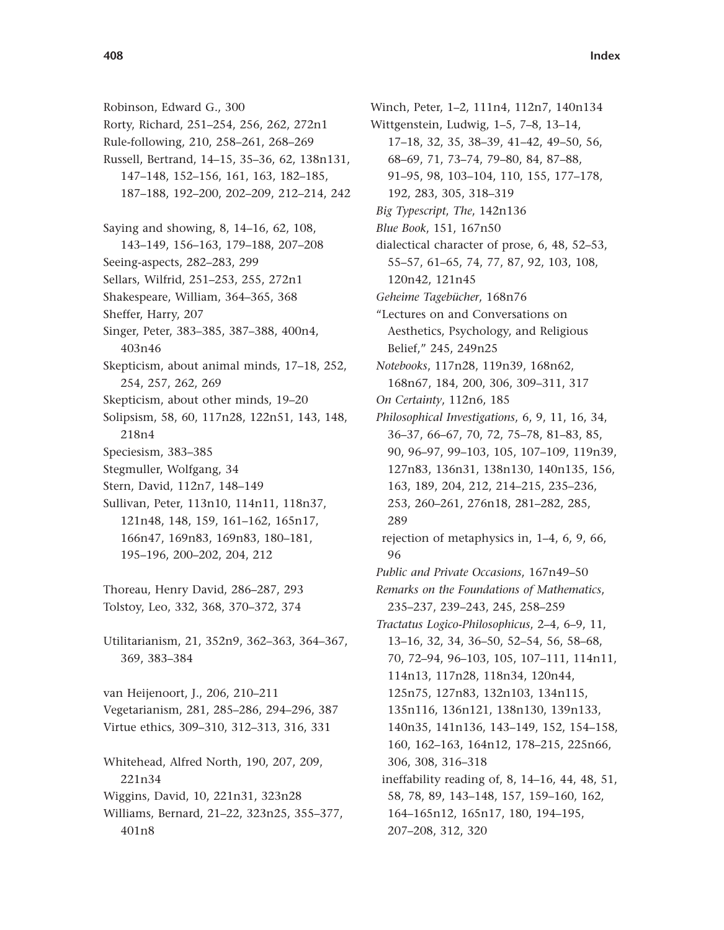Robinson, Edward G., 300 Rorty, Richard, 251–254, 256, 262, 272n1 Rule-following, 210, 258–261, 268–269 Russell, Bertrand, 14–15, 35–36, 62, 138n131, 147–148, 152–156, 161, 163, 182–185, 187–188, 192–200, 202–209, 212–214, 242 Saying and showing, 8, 14–16, 62, 108, 143–149, 156–163, 179–188, 207–208 Seeing-aspects, 282–283, 299 Sellars, Wilfrid, 251–253, 255, 272n1 Shakespeare, William, 364–365, 368 Sheffer, Harry, 207 Singer, Peter, 383–385, 387–388, 400n4, 403n46 Skepticism, about animal minds, 17–18, 252, 254, 257, 262, 269 Skepticism, about other minds, 19–20 Solipsism, 58, 60, 117n28, 122n51, 143, 148, 218n4 Speciesism, 383–385 Stegmuller, Wolfgang, 34 Stern, David, 112n7, 148–149 Sullivan, Peter, 113n10, 114n11, 118n37, 121n48, 148, 159, 161–162, 165n17, 166n47, 169n83, 169n83, 180–181, 195–196, 200–202, 204, 212 Thoreau, Henry David, 286–287, 293 Tolstoy, Leo, 332, 368, 370–372, 374 Utilitarianism, 21, 352n9, 362–363, 364–367, 369, 383–384 van Heijenoort, J., 206, 210–211 Vegetarianism, 281, 285–286, 294–296, 387 Virtue ethics, 309–310, 312–313, 316, 331 Whitehead, Alfred North, 190, 207, 209, 221n34 Wiggins, David, 10, 221n31, 323n28 Williams, Bernard, 21–22, 323n25, 355–377, 401n8

Winch, Peter, 1–2, 111n4, 112n7, 140n134 Wittgenstein, Ludwig, 1–5, 7–8, 13–14, 17–18, 32, 35, 38–39, 41–42, 49–50, 56, 68–69, 71, 73–74, 79–80, 84, 87–88, 91–95, 98, 103–104, 110, 155, 177–178, 192, 283, 305, 318–319 *Big Typescript*, *The*, 142n136 *Blue Book*, 151, 167n50 dialectical character of prose, 6, 48, 52–53, 55–57, 61–65, 74, 77, 87, 92, 103, 108, 120n42, 121n45 *Geheime Tagebücher*, 168n76 "Lectures on and Conversations on Aesthetics, Psychology, and Religious Belief," 245, 249n25 *Notebooks*, 117n28, 119n39, 168n62, 168n67, 184, 200, 306, 309–311, 317 *On Certainty*, 112n6, 185 *Philosophical Investigations*, 6, 9, 11, 16, 34, 36–37, 66–67, 70, 72, 75–78, 81–83, 85, 90, 96–97, 99–103, 105, 107–109, 119n39, 127n83, 136n31, 138n130, 140n135, 156, 163, 189, 204, 212, 214–215, 235–236, 253, 260–261, 276n18, 281–282, 285, 289 rejection of metaphysics in, 1–4, 6, 9, 66, 96 *Public and Private Occasions*, 167n49–50 *Remarks on the Foundations of Mathematics*, 235–237, 239–243, 245, 258–259 *Tractatus Logico-Philosophicus*, 2–4, 6–9, 11, 13–16, 32, 34, 36–50, 52–54, 56, 58–68, 70, 72–94, 96–103, 105, 107–111, 114n11, 114n13, 117n28, 118n34, 120n44, 125n75, 127n83, 132n103, 134n115, 135n116, 136n121, 138n130, 139n133, 140n35, 141n136, 143–149, 152, 154–158, 160, 162–163, 164n12, 178–215, 225n66, 306, 308, 316–318 ineffability reading of, 8, 14–16, 44, 48, 51, 58, 78, 89, 143–148, 157, 159–160, 162, 164–165n12, 165n17, 180, 194–195, 207–208, 312, 320